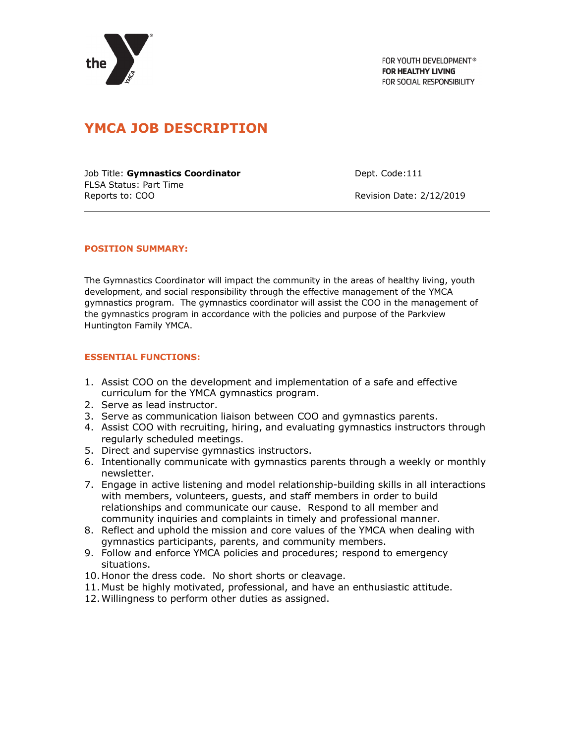

FOR YOUTH DEVELOPMENT® **FOR HEALTHY LIVING** FOR SOCIAL RESPONSIBILITY

# **YMCA JOB DESCRIPTION**

Job Title: **Gymnastics Coordinator Constant Constant Constant Constant Constant Constant Constant Constant Constant Constant Constant Constant Constant Constant Constant Constant Constant Constant Constant Constant Const** FLSA Status: Part Time Reports to: COO **Reports** to: COO **Revision Date: 2/12/2019** 

## **POSITION SUMMARY:**

The Gymnastics Coordinator will impact the community in the areas of healthy living, youth development, and social responsibility through the effective management of the YMCA gymnastics program. The gymnastics coordinator will assist the COO in the management of the gymnastics program in accordance with the policies and purpose of the Parkview Huntington Family YMCA.

### **ESSENTIAL FUNCTIONS:**

- 1. Assist COO on the development and implementation of a safe and effective curriculum for the YMCA gymnastics program.
- 2. Serve as lead instructor.
- 3. Serve as communication liaison between COO and gymnastics parents.
- 4. Assist COO with recruiting, hiring, and evaluating gymnastics instructors through regularly scheduled meetings.
- 5. Direct and supervise gymnastics instructors.
- 6. Intentionally communicate with gymnastics parents through a weekly or monthly newsletter.
- 7. Engage in active listening and model relationship-building skills in all interactions with members, volunteers, guests, and staff members in order to build relationships and communicate our cause. Respond to all member and community inquiries and complaints in timely and professional manner.
- 8. Reflect and uphold the mission and core values of the YMCA when dealing with gymnastics participants, parents, and community members.
- 9. Follow and enforce YMCA policies and procedures; respond to emergency situations.
- 10.Honor the dress code. No short shorts or cleavage.
- 11.Must be highly motivated, professional, and have an enthusiastic attitude.
- 12.Willingness to perform other duties as assigned.